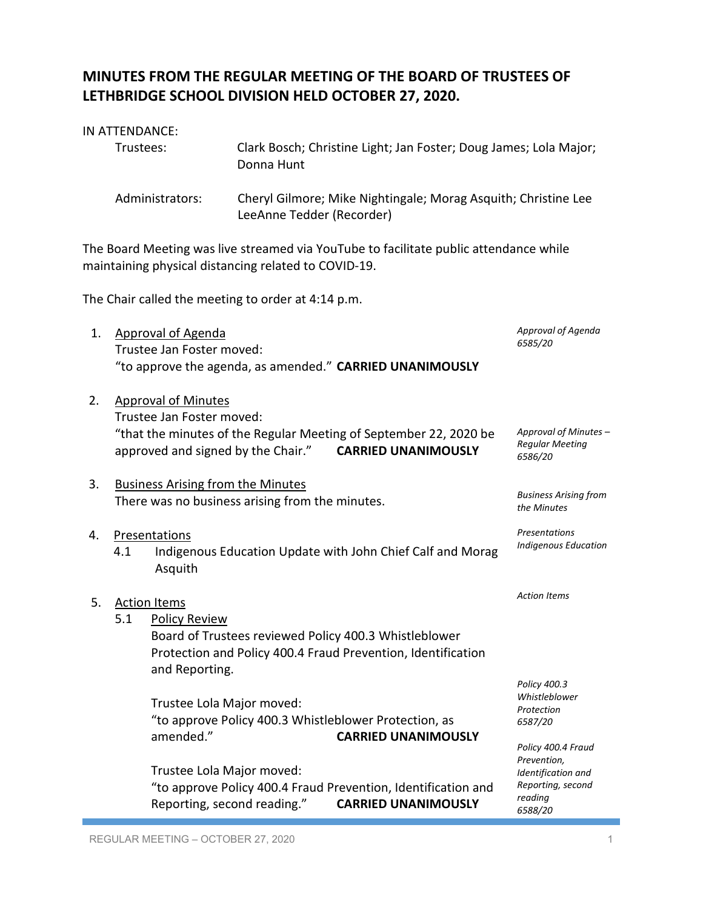# **MINUTES FROM THE REGULAR MEETING OF THE BOARD OF TRUSTEES OF LETHBRIDGE SCHOOL DIVISION HELD OCTOBER 27, 2020.**

| IN ATTENDANCE:  |                                                                                                                                               |
|-----------------|-----------------------------------------------------------------------------------------------------------------------------------------------|
| Trustees:       | Clark Bosch; Christine Light; Jan Foster; Doug James; Lola Major;<br>Donna Hunt                                                               |
| Administrators: | Cheryl Gilmore; Mike Nightingale; Morag Asquith; Christine Lee<br>LeeAnne Tedder (Recorder)                                                   |
|                 | The Board Meeting was live streamed via YouTube to facilitate public attendance while<br>maintaining physical distancing related to COVID-19. |
|                 | The Chair called the meeting to order at 4:14 p.m.                                                                                            |

1. Approval of Agenda Trustee Jan Foster moved: "to approve the agenda, as amended." **CARRIED UNANIMOUSLY**

2. Approval of Minutes Trustee Jan Foster moved: "that the minutes of the Regular Meeting of September 22, 2020 be approved and signed by the Chair." **CARRIED UNANIMOUSLY** *Approval of Minutes – Regular Meeting 6586/20*

# 3. Business Arising from the Minutes There was no business arising from the minutes.

#### 4. Presentations

4.1 Indigenous Education Update with John Chief Calf and Morag Asquith

5. Action Items 5.1 Policy Review Board of Trustees reviewed Policy 400.3 Whistleblower Protection and Policy 400.4 Fraud Prevention, Identification and Reporting. Trustee Lola Major moved: "to approve Policy 400.3 Whistleblower Protection, as amended." **CARRIED UNANIMOUSLY** *Action Items 6587/20*

> Trustee Lola Major moved: "to approve Policy 400.4 Fraud Prevention, Identification and Reporting, second reading." **CARRIED UNANIMOUSLY**

*Policy 400.3 Whistleblower Protection*

*Approval of Agenda*

*Business Arising from the Minutes*

*Presentations Indigenous Education*

*6585/20*

*Policy 400.4 Fraud Prevention, Identification and Reporting, second reading 6588/20*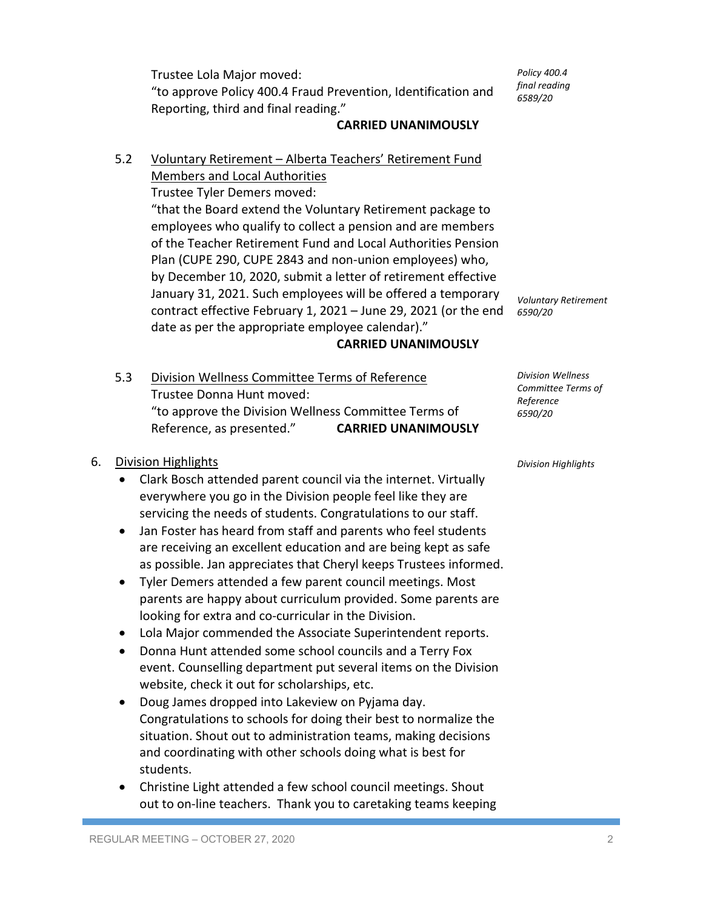Trustee Lola Major moved: "to approve Policy 400.4 Fraud Prevention, Identification and Reporting, third and final reading."

*Policy 400.4 final reading 6589/20*

# **CARRIED UNANIMOUSLY**

5.2 Voluntary Retirement – Alberta Teachers' Retirement Fund Members and Local Authorities

Trustee Tyler Demers moved:

"that the Board extend the Voluntary Retirement package to employees who qualify to collect a pension and are members of the Teacher Retirement Fund and Local Authorities Pension Plan (CUPE 290, CUPE 2843 and non-union employees) who, by December 10, 2020, submit a letter of retirement effective January 31, 2021. Such employees will be offered a temporary contract effective February 1, 2021 – June 29, 2021 (or the end date as per the appropriate employee calendar)."

### **CARRIED UNANIMOUSLY**

5.3 Division Wellness Committee Terms of Reference Trustee Donna Hunt moved: "to approve the Division Wellness Committee Terms of Reference, as presented." **CARRIED UNANIMOUSLY**

### 6. Division Highlights

- Clark Bosch attended parent council via the internet. Virtually everywhere you go in the Division people feel like they are servicing the needs of students. Congratulations to our staff.
- Jan Foster has heard from staff and parents who feel students are receiving an excellent education and are being kept as safe as possible. Jan appreciates that Cheryl keeps Trustees informed.
- Tyler Demers attended a few parent council meetings. Most parents are happy about curriculum provided. Some parents are looking for extra and co-curricular in the Division.
- Lola Major commended the Associate Superintendent reports.
- Donna Hunt attended some school councils and a Terry Fox event. Counselling department put several items on the Division website, check it out for scholarships, etc.
- Doug James dropped into Lakeview on Pyjama day. Congratulations to schools for doing their best to normalize the situation. Shout out to administration teams, making decisions and coordinating with other schools doing what is best for students.
- Christine Light attended a few school council meetings. Shout out to on-line teachers. Thank you to caretaking teams keeping

*Voluntary Retirement*

*6590/20*

*Division Wellness Committee Terms of Reference 6590/20*

*Division Highlights*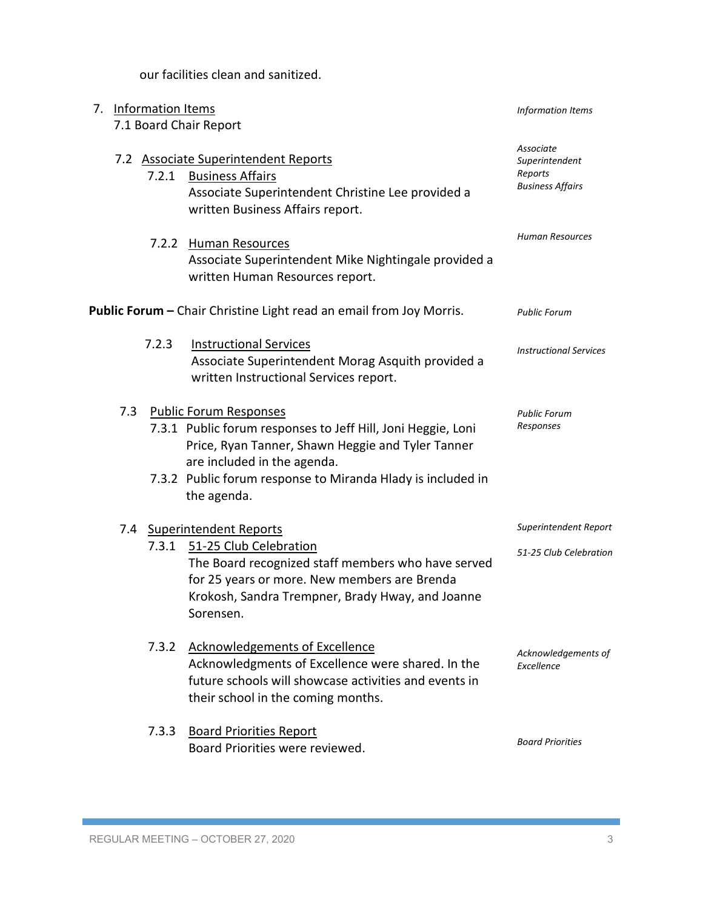our facilities clean and sanitized.

| 7.                                                                  |     | <b>Information Items</b> |                                                                                                                                                                                                                                                          | Information Items                                                 |
|---------------------------------------------------------------------|-----|--------------------------|----------------------------------------------------------------------------------------------------------------------------------------------------------------------------------------------------------------------------------------------------------|-------------------------------------------------------------------|
|                                                                     |     |                          | 7.1 Board Chair Report                                                                                                                                                                                                                                   |                                                                   |
|                                                                     |     | 7.2.1                    | 7.2 Associate Superintendent Reports<br><b>Business Affairs</b><br>Associate Superintendent Christine Lee provided a<br>written Business Affairs report.                                                                                                 | Associate<br>Superintendent<br>Reports<br><b>Business Affairs</b> |
|                                                                     |     | 7.2.2                    | <b>Human Resources</b><br>Associate Superintendent Mike Nightingale provided a<br>written Human Resources report.                                                                                                                                        | Human Resources                                                   |
| Public Forum - Chair Christine Light read an email from Joy Morris. |     | <b>Public Forum</b>      |                                                                                                                                                                                                                                                          |                                                                   |
|                                                                     |     | 7.2.3                    | <b>Instructional Services</b><br>Associate Superintendent Morag Asquith provided a<br>written Instructional Services report.                                                                                                                             | <b>Instructional Services</b>                                     |
|                                                                     | 7.3 |                          | Public Forum Responses<br>7.3.1 Public forum responses to Jeff Hill, Joni Heggie, Loni<br>Price, Ryan Tanner, Shawn Heggie and Tyler Tanner<br>are included in the agenda.<br>7.3.2 Public forum response to Miranda Hlady is included in<br>the agenda. | <b>Public Forum</b><br>Responses                                  |
|                                                                     |     | 7.3.1                    | 7.4 Superintendent Reports<br>51-25 Club Celebration<br>The Board recognized staff members who have served<br>for 25 years or more. New members are Brenda<br>Krokosh, Sandra Trempner, Brady Hway, and Joanne<br>Sorensen.                              | Superintendent Report<br>51-25 Club Celebration                   |
|                                                                     |     | 7.3.2                    | <b>Acknowledgements of Excellence</b><br>Acknowledgments of Excellence were shared. In the<br>future schools will showcase activities and events in<br>their school in the coming months.                                                                | Acknowledgements of<br>Excellence                                 |
|                                                                     |     | 7.3.3                    | <b>Board Priorities Report</b><br>Board Priorities were reviewed.                                                                                                                                                                                        | <b>Board Priorities</b>                                           |